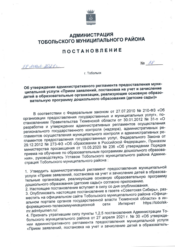

# **АДМИНИСТРАЦИЯ** ТОБОЛЬСКОГО МУНИЦИПАЛЬНОГО РАЙОНА

## **ПОСТАНОВЛЕНИЕ**

IS dead 2025.

 $N_2$  38

г. Тобольск

Об утверждении административного регламента предоставления муниципальной услуги «Прием заявлений, постановка на учет и зачисление детей в образовательные организации, реализующие основную образовательную программу дошкольного образования (детские сады)»

В соответствии с Федеральным законом от 27.07.2010 № 210-ФЗ «Об организации предоставления государственных и муниципальных услуг», постановлением Правительства Тюменской области от 30.01.2012 № 31-п «О разработке и утверждении административных регламентов осуществления регионального государственного контроля (надзора), административных регламентов осуществления муниципального контроля и административных регламентов предоставления государственных услуг, Федерального Закона от 29.12.2012 № 273-ФЗ «Об образовании в Российской Федерации», Приказом министерства просвещения от 15.05.2020 № 236 «Об утверждении Порядка приема на обучение по образовательным программам дошкольного образования», руководствуясь Уставом Тобольского муниципального района Администрация Тобольского муниципального района:

1. Утвердить административный регламент предоставления муниципальной услуги «Прием заявлений, постановка на учет и зачисление детей в образовательные организации, реализующие основную образовательную программу дошкольного образования (детские сады)» согласно приложению.

2. Настоящее постановление вступает в силу со дня опубликования.

3. Опубликовать настоящее постановление в газете «Советская Сибирь», разместить на официальном сайте Тобольского муниципального района «Официальном портале органов государственной власти Тюменской области» в инhttps://tobolsk-**Интернет** формационно-телекоммуникационной сети mr.admtyumen.ru/.

4. Признать утратившим силу пункты 1,2,5 постановления Администрации Тобольского муниципального района от 27 апреля 2021 г. № 30 «Об утверждении административного регламента предоставления муниципальной услуги «Прием заявлений, постановка на учет и зачисление детей в образователь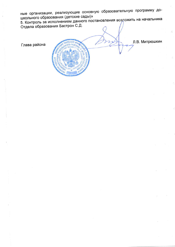ные организации, реализующие основную образовательную программу дошкольного образования (детские сады)»

5. Контроль за исполнением данного постановления возложить на начальника Отдела образования Бастрон С.Д.

Глава района

Л.В. Митрюшкин